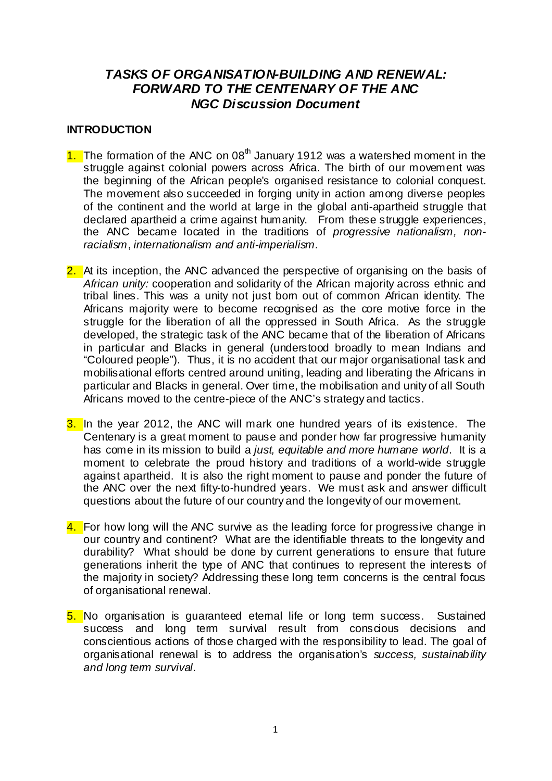# *TASKS OF ORGANISATION-BUILDING AND RENEWAL: FORWARD TO THE CENTENARY OF THE ANC NGC Discussion Document*

### **INTRODUCTION**

- 1. The formation of the ANC on  $08<sup>th</sup>$  January 1912 was a watershed moment in the struggle against colonial powers across Africa. The birth of our movement was the beginning of the African people's organised resistance to colonial conquest. The movement also succeeded in forging unity in action among diverse peoples of the continent and the world at large in the global anti-apartheid struggle that declared apartheid a crime against humanity. From these struggle experiences, the ANC became located in the traditions of *progressive nationalism, nonracialism*, *internationalism and anti-imperialism.*
- 2. At its inception, the ANC advanced the perspective of organising on the basis of *African unity:* cooperation and solidarity of the African majority across ethnic and tribal lines. This was a unity not just born out of common African identity. The Africans majority were to become recognised as the core motive force in the struggle for the liberation of all the oppressed in South Africa. As the struggle developed, the strategic task of the ANC became that of the liberation of Africans in particular and Blacks in general (understood broadly to mean Indians and "Coloured people"). Thus, it is no accident that our major organisational task and mobilisational efforts centred around uniting, leading and liberating the Africans in particular and Blacks in general. Over time, the mobilisation and unity of all South Africans moved to the centre-piece of the ANC's strategy and tactics.
- 3. In the year 2012, the ANC will mark one hundred years of its existence. The Centenary is a great moment to pause and ponder how far progressive humanity has come in its mission to build a *just, equitable and more humane world*. It is a moment to celebrate the proud history and traditions of a world-wide struggle against apartheid. It is also the right moment to pause and ponder the future of the ANC over the next fifty-to-hundred years. We must ask and answer difficult questions about the future of our country and the longevity of our movement.
- 4. For how long will the ANC survive as the leading force for progressive change in our country and continent? What are the identifiable threats to the longevity and durability? What should be done by current generations to ensure that future generations inherit the type of ANC that continues to represent the interests of the majority in society? Addressing these long term concerns is the central focus of organisational renewal.
- 5. No organisation is quaranteed etemal life or long term success. Sustained success and long term survival result from conscious decisions and conscientious actions of those charged with the responsibility to lead. The goal of organisational renewal is to address the organisation's *success, sustainability and long term survival*.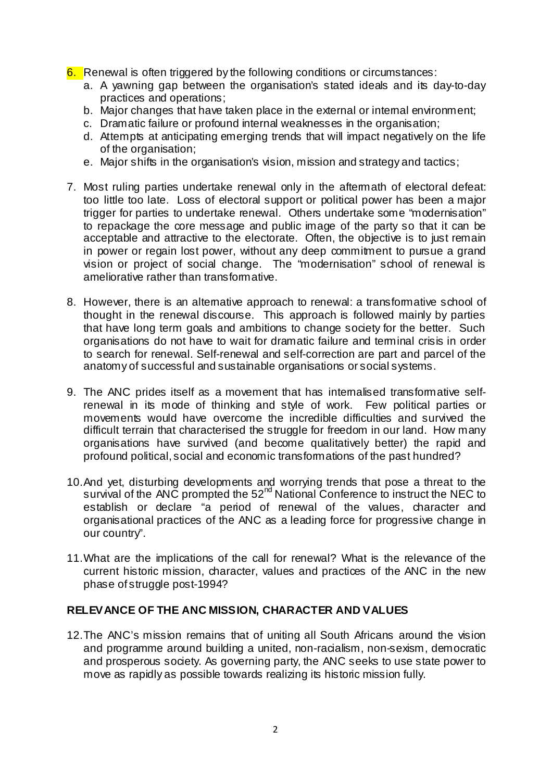- 6. Renewal is often triggered by the following conditions or circumstances:
	- a. A yawning gap between the organisation's stated ideals and its day-to-day practices and operations;
	- b. Major changes that have taken place in the external or internal environment;
	- c. Dramatic failure or profound internal weaknesses in the organisation;
	- d. Attempts at anticipating emerging trends that will impact negatively on the life of the organisation;
	- e. Major shifts in the organisation's vision, mission and strategy and tactics;
- 7. Most ruling parties undertake renewal only in the aftermath of electoral defeat: too little too late. Loss of electoral support or political power has been a major trigger for parties to undertake renewal. Others undertake some "modernisation" to repackage the core message and public image of the party so that it can be acceptable and attractive to the electorate. Often, the objective is to just remain in power or regain lost power, without any deep commitment to pursue a grand vision or project of social change. The "modernisation" school of renewal is ameliorative rather than transformative.
- 8. However, there is an altemative approach to renewal: a transformative school of thought in the renewal discourse. This approach is followed mainly by parties that have long term goals and ambitions to change society for the better. Such organisations do not have to wait for dramatic failure and terminal crisis in order to search for renewal. Self-renewal and self-correction are part and parcel of the anatomy of successful and sustainable organisations or social systems.
- 9. The ANC prides itself as a movement that has internalised transformative selfrenewal in its mode of thinking and style of work. Few political parties or movements would have overcome the incredible difficulties and survived the difficult terrain that characterised the struggle for freedom in our land. How many organisations have survived (and become qualitatively better) the rapid and profound political, social and economic transformations of the past hundred?
- 10. And yet, disturbing developments and worrying trends that pose a threat to the survival of the ANC prompted the 52<sup>nd</sup> National Conference to instruct the NEC to establish or declare "a period of renewal of the values, character and organisational practices of the ANC as a leading force for progressive change in our country".
- 11. What are the implications of the call for renewal? What is the relevance of the current historic mission, character, values and practices of the ANC in the new phase of struggle post-1994?

### **RELEVANCE OF THE ANC MISSION, CHARACTER AND VALUES**

12. The ANC's mission remains that of uniting all South Africans around the vision and programme around building a united, non-racialism, non-sexism, democratic and prosperous society. As governing party, the ANC seeks to use state power to move as rapidly as possible towards realizing its historic mission fully.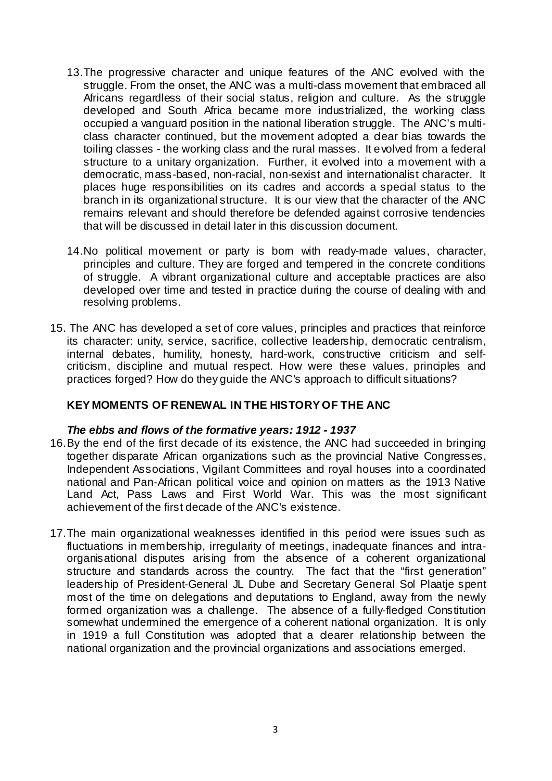- 13. The progressive character and unique features of the ANC evolved with the struggle. From the onset, the ANC was a multi-dass movement that embraced all Africans regardless of their social status, religion and culture. As the struggle developed and South Africa became more industrialized, the working class occupied a vanguard position in the national liberation struggle. The ANC's multiclass character continued, but the movement adopted a clear bias towards the toiling classes - the working class and the rural masses. It evolved from a federal structure to a unitary organization. Further, it evolved into a movement with a democratic, mass-based, non-racial, non-sexist and internationalist character. It places huge responsibilities on its cadres and accords a special status to the branch in its organizational structure. It is our view that the character of the ANC remains relevant and should therefore be defended against corrosive tendencies that will be discussed in detail later in this discussion document.
- 14. No political movement or party is bom with ready-made values, character, principles and culture. They are forged and tempered in the concrete conditions of struggle. A vibrant organizational culture and acceptable practices are also developed over time and tested in practice during the course of dealing with and resolving problems.
- 15. The ANC has developed a set of core values, principles and practices that reinforce its character: unity, service, sacrifice, collective leadership, democratic centralism, internal debates, humility, honesty, hard-work, constructive criticism and selfcriticism, discipline and mutual respect. How were these values, principles and practices forged? How do they guide the ANC's approach to difficult situations?

### **KEY MOMENTS OF RENEWAL IN THE HISTORY OF THE ANC**

### *The ebbs and flows of the formative years: 1912 - 1937*

- 16. By the end of the first decade of its existence, the ANC had succeeded in bringing together disparate African organizations such as the provincial Native Congresses, Independent Associations, Vigilant Committees and royal houses into a coordinated national and Pan-African political voice and opinion on matters as the 1913 Native Land Act. Pass Laws and First World War. This was the most significant achievement of the first decade of the ANC's existence.
- 17. The main organizational weaknesses identified in this period were issues such as fluctuations in membership, irregularity of meetings, inadequate finances and intraorganisational disputes arising from the absence of a coherent organizational structure and standards across the country. The fact that the "first generation" leadership of President-General JL Dube and Secretary General Sol Plaatje spent most of the time on delegations and deputations to England, away from the newly formed organization was a challenge. The absence of a fully-fledged Constitution somewhat undermined the emergence of a coherent national organization. It is only in 1919 a full Constitution was adopted that a clearer relationship between the national organization and the provincial organizations and associations emerged.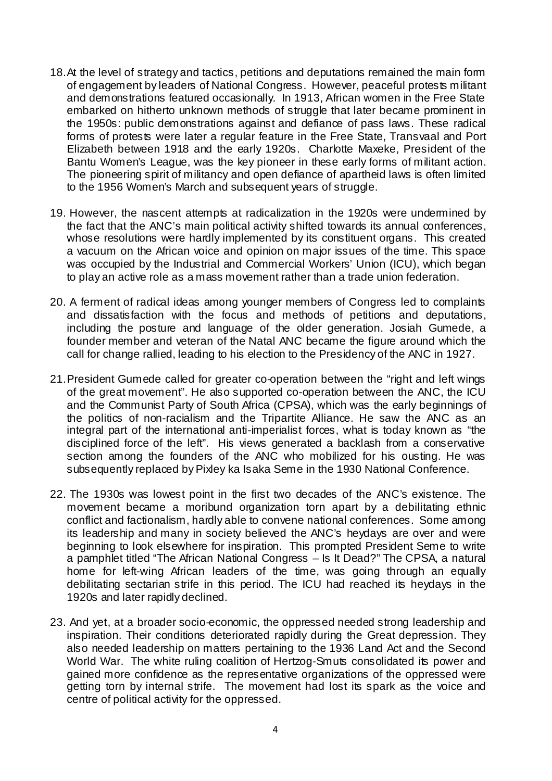- 18. At the level of strategy and tactics, petitions and deputations remained the main form of engagement by leaders of National Congress. However, peaceful protests militant and demonstrations featured occasionally. In 1913, African women in the Free State embarked on hitherto unknown methods of struggle that later became prominent in the 1950s: public demonstrations against and defiance of pass laws. These radical forms of protests were later a regular feature in the Free State, Transvaal and Port Elizabeth between 1918 and the early 1920s. Charlotte Maxeke, President of the Bantu Women's League, was the key pioneer in these early forms of militant action. The pioneering spirit of militancy and open defiance of apartheid laws is often limited to the 1956 Women's March and subsequent years of struggle.
- 19. However, the nascent attempts at radicalization in the 1920s were undermined by the fact that the ANC's main political activity shifted towards its annual conferences, whose resolutions were hardly implemented by its constituent organs. This created a vacuum on the African voice and opinion on major issues of the time. This space was occupied by the Industrial and Commercial Workers' Union (ICU), which began to play an active role as a mass movement rather than a trade union federation.
- 20. A ferment of radical ideas among younger members of Congress led to complaints and dissatisfaction with the focus and methods of petitions and deputations, including the posture and language of the older generation. Josiah Gumede, a founder member and veteran of the Natal ANC became the figure around which the call for change rallied, leading to his election to the Presidency of the ANC in 1927.
- 21. President Gumede called for greater co-operation between the "right and left wings of the great movement". He also supported co-operation between the ANC, the ICU and the Communist Party of South Africa (CPSA), which was the early beginnings of the politics of non-racialism and the Tripartite Alliance. He saw the ANC as an integral part of the international anti-imperialist forces, what is today known as "the disciplined force of the left". His views generated a backlash from a conservative section among the founders of the ANC who mobilized for his ousting. He was subsequently replaced by Pixley ka Isaka Seme in the 1930 National Conference.
- 22. The 1930s was lowest point in the first two decades of the ANC's existence. The movement became a moribund organization torn apart by a debilitating ethnic conflict and factionalism, hardly able to convene national conferences. Some among its leadership and many in society believed the ANC's heydays are over and were beginning to look elsewhere for inspiration. This prompted President Seme to write a pamphlet titled "The African National Congress – Is It Dead?" The CPSA, a natural home for left-wing African leaders of the time, was going through an equally debilitating sectarian strife in this period. The ICU had reached its heydays in the 1920s and later rapidly declined.
- 23. And yet, at a broader socio-economic, the oppressed needed strong leadership and inspiration. Their conditions deteriorated rapidly during the Great depression. They also needed leadership on matters pertaining to the 1936 Land Act and the Second World War. The white ruling coalition of Hertzog-Smuts consolidated its power and gained more confidence as the representative organizations of the oppressed were getting torn by internal strife. The movement had lost its spark as the voice and centre of political activity for the oppressed.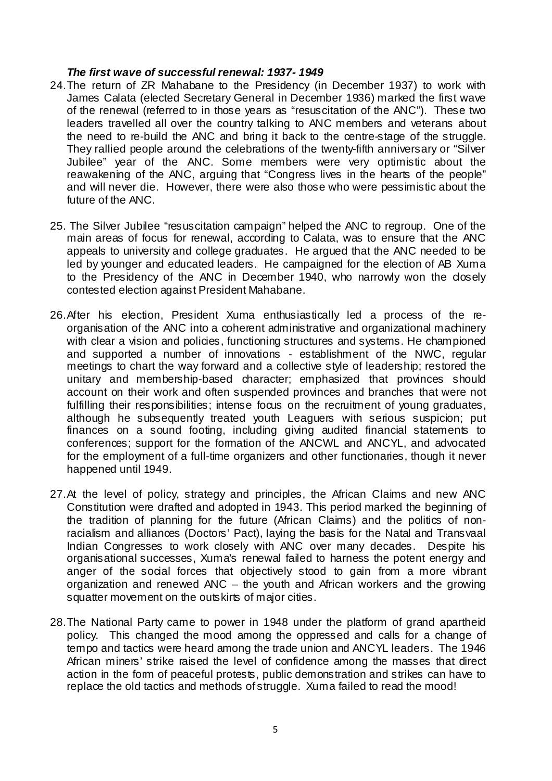#### *The first wave of successful renewal: 1937- 1949*

- 24. The return of ZR Mahabane to the Presidency (in December 1937) to work with James Calata (elected Secretary General in December 1936) marked the first wave of the renewal (referred to in those years as "resuscitation of the ANC"). These two leaders travelled all over the country talking to ANC members and veterans about the need to re-build the ANC and bring it back to the centre-stage of the struggle. They rallied people around the celebrations of the twenty-fifth anniversary or "Silver Jubilee" year of the ANC. Some members were very optimistic about the reawakening of the ANC, arguing that "Congress lives in the hearts of the people" and will never die. However, there were also those who were pessimistic about the future of the ANC.
- 25. The Silver Jubilee "resuscitation campaign" helped the ANC to regroup. One of the main areas of focus for renewal, according to Calata, was to ensure that the ANC appeals to university and college graduates. He argued that the ANC needed to be led by younger and educated leaders. He campaigned for the election of AB Xuma to the Presidency of the ANC in December 1940, who narrowly won the closely contested election against President Mahabane.
- 26. After his election, President Xuma enthusiastically led a process of the reorganisation of the ANC into a coherent administrative and organizational machinery with clear a vision and policies, functioning structures and systems. He championed and supported a number of innovations - establishment of the NWC, regular meetings to chart the way forward and a collective style of leadership; restored the unitary and membership-based character; emphasized that provinces should account on their work and often suspended provinces and branches that were not fulfilling their responsibilities; intense focus on the recruitment of young graduates, although he subsequently treated youth Leaguers with serious suspicion; put finances on a sound footing, including giving audited financial statements to conferences; support for the formation of the ANCWL and ANCYL, and advocated for the employment of a full-time organizers and other functionaries, though it never happened until 1949.
- 27. At the level of policy, strategy and principles, the African Claims and new ANC Constitution were drafted and adopted in 1943. This period marked the beginning of the tradition of planning for the future (African Claims) and the politics of nonracialism and alliances (Doctors' Pact), laying the basis for the Natal and Transvaal Indian Congresses to work closely with ANC over many decades. Despite his organisational successes, Xuma's renewal failed to harness the potent energy and anger of the social forces that objectively stood to gain from a more vibrant organization and renewed ANC – the youth and African workers and the growing squatter movement on the outskirts of major cities.
- 28. The National Party came to power in 1948 under the platform of grand apartheid policy. This changed the mood among the oppressed and calls for a change of tempo and tactics were heard among the trade union and ANCYL leaders. The 1946 African miners' strike raised the level of confidence among the masses that direct action in the form of peaceful protests, public demonstration and strikes can have to replace the old tactics and methods of struggle. Xuma failed to read the mood!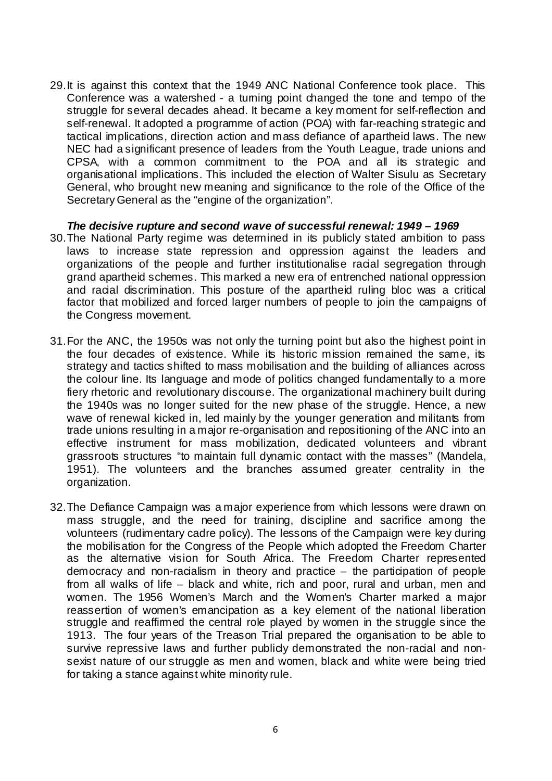29. It is against this context that the 1949 ANC National Conference took place. This Conference was a watershed - a turning point changed the tone and tempo of the struggle for several decades ahead. It became a key moment for self-reflection and self-renewal. It adopted a programme of action (POA) with far-reaching strategic and tactical implications, direction action and mass defiance of apartheid laws. The new NEC had a significant presence of leaders from the Youth League, trade unions and CPSA, with a common commitment to the POA and all its strategic and organisational implications. This included the election of Walter Sisulu as Secretary General, who brought new meaning and significance to the role of the Office of the Secretary General as the "engine of the organization".

*The decisive rupture and second wave of successful renewal: 1949 – 1969*  30. The National Party regime was determined in its publicly stated ambition to pass laws to increase state repression and oppression against the leaders and organizations of the people and further institutionalise racial segregation through grand apartheid schemes. This marked a new era of entrenched national oppression and racial discrimination. This posture of the apartheid ruling bloc was a critical factor that mobilized and forced larger numbers of people to join the campaigns of the Congress movement.

- 31. For the ANC, the 1950s was not only the turning point but also the highest point in the four decades of existence. While its historic mission remained the same, its strategy and tactics shifted to mass mobilisation and the building of alliances across the colour line. Its language and mode of politics changed fundamentally to a more fiery rhetoric and revolutionary discourse. The organizational machinery built during the 1940s was no longer suited for the new phase of the struggle. Hence, a new wave of renewal kicked in, led mainly by the younger generation and militants from trade unions resulting in a major re-organisation and repositioning of the ANC into an effective instrument for mass mobilization, dedicated volunteers and vibrant grassroots structures "to maintain full dynamic contact with the masses" (Mandela, 1951). The volunteers and the branches assumed greater centrality in the organization.
- 32. The Defiance Campaign was a major experience from which lessons were drawn on mass struggle, and the need for training, discipline and sacrifice among the volunteers (rudimentary cadre policy). The lessons of the Campaign were key during the mobilisation for the Congress of the People which adopted the Freedom Charter as the alternative vision for South Africa. The Freedom Charter represented democracy and non-racialism in theory and practice – the participation of people from all walks of life – black and white, rich and poor, rural and urban, men and women. The 1956 Women's March and the Women's Charter marked a major reassertion of women's emancipation as a key element of the national liberation struggle and reaffirmed the central role played by women in the struggle since the 1913. The four years of the Treason Trial prepared the organisation to be able to survive repressive laws and further publicly demonstrated the non-racial and nonsexist nature of our struggle as men and women, black and white were being tried for taking a stance against white minority rule.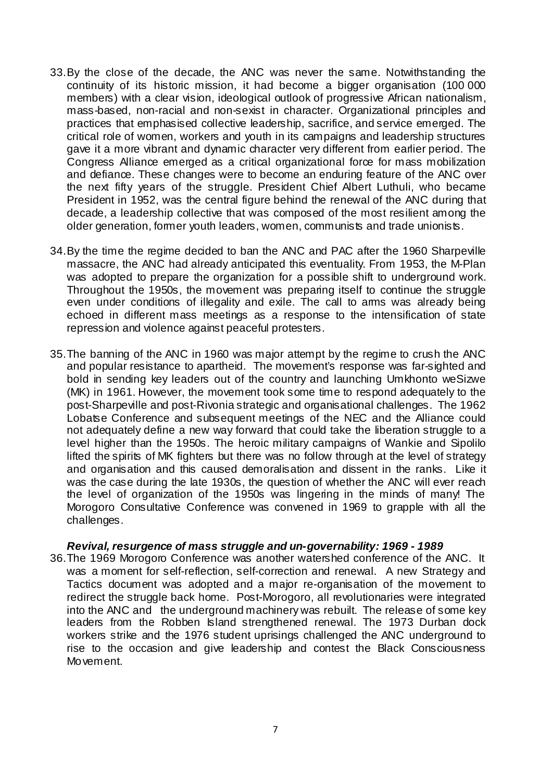- 33. By the close of the decade, the ANC was never the same. Notwithstanding the continuity of its historic mission, it had become a bigger organisation (100 000 members) with a clear vision, ideological outlook of progressive African nationalism, mass-based, non-racial and non-sexist in character. Organizational principles and practices that emphasised collective leadership, sacrifice, and service emerged. The critical role of women, workers and youth in its campaigns and leadership structures gave it a more vibrant and dynamic character very different from earlier period. The Congress Alliance emerged as a critical organizational force for mass mobilization and defiance. These changes were to become an enduring feature of the ANC over the next fifty years of the struggle. President Chief Albert Luthuli, who became President in 1952, was the central figure behind the renewal of the ANC during that decade, a leadership collective that was composed of the most resilient among the older generation, former youth leaders, women, communists and trade unionists.
- 34. By the time the regime decided to ban the ANC and PAC after the 1960 Sharpeville massacre, the ANC had already anticipated this eventuality. From 1953, the M-Plan was adopted to prepare the organization for a possible shift to underground work. Throughout the 1950s, the movement was preparing itself to continue the struggle even under conditions of illegality and exile. The call to arms was already being echoed in different mass meetings as a response to the intensification of state repression and violence against peaceful protesters.
- 35. The banning of the ANC in 1960 was major attempt by the regime to crush the ANC and popular resistance to apartheid. The movement's response was far-sighted and bold in sending key leaders out of the country and launching Umkhonto weSizwe (MK) in 1961. However, the movement took some time to respond adequately to the post-Sharpeville and post-Rivonia strategic and organisational challenges. The 1962 Lobatse Conference and subsequent meetings of the NEC and the Alliance could not adequately define a new way forward that could take the liberation struggle to a level higher than the 1950s. The heroic military campaigns of Wankie and Sipolilo lifted the spirits of MK fighters but there was no follow through at the level of strategy and organisation and this caused demoralisation and dissent in the ranks. Like it was the case during the late 1930s, the question of whether the ANC will ever reach the level of organization of the 1950s was lingering in the minds of many! The Morogoro Consultative Conference was convened in 1969 to grapple with all the challenges.

#### *Revival, resurgence of mass struggle and un-governability: 1969 - 1989*

36. The 1969 Morogoro Conference was another watershed conference of the ANC. It was a moment for self-reflection, self-correction and renewal. A new Strategy and Tactics document was adopted and a major re-organisation of the movement to redirect the struggle back home.Post-Morogoro, all revolutionaries were integrated into the ANC and the underground machinery was rebuilt. The release of some key leaders from the Robben Island strengthened renewal. The 1973 Durban dock workers strike and the 1976 student uprisings challenged the ANC underground to rise to the occasion and give leadership and contest the Black Consciousness Movement.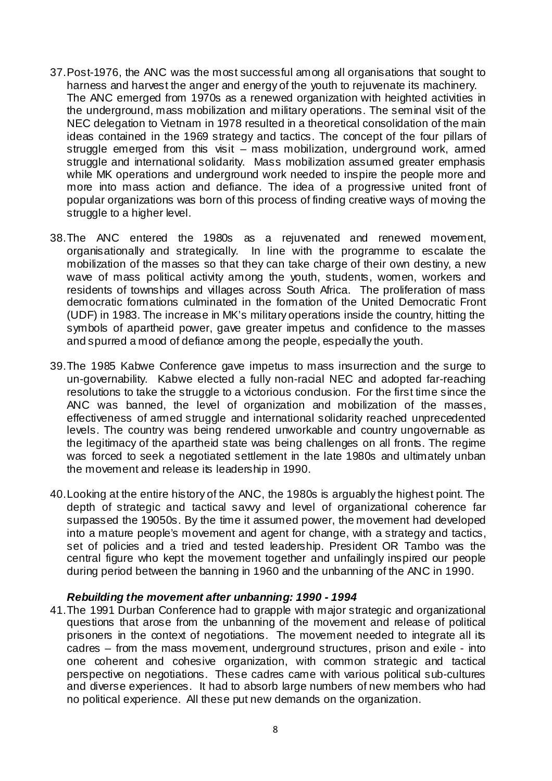- 37. Post-1976, the ANC was the most successful among all organisations that sought to harness and harvest the anger and energy of the youth to rejuvenate its machinery. The ANC emerged from 1970s as a renewed organization with heighted activities in the underground, mass mobilization and military operations. The seminal visit of the NEC delegation to Vietnam in 1978 resulted in a theoretical consolidation of the main ideas contained in the 1969 strategy and tactics. The concept of the four pillars of struggle emerged from this visit – mass mobilization, underground work, armed struggle and international solidarity. Mass mobilization assumed greater emphasis while MK operations and underground work needed to inspire the people more and more into mass action and defiance. The idea of a progressive united front of popular organizations was born of this process of finding creative ways of moving the struggle to a higher level.
- 38. The ANC entered the 1980s as a rejuvenated and renewed movement, organisationally and strategically. In line with the programme to escalate the mobilization of the masses so that they can take charge of their own destiny, a new wave of mass political activity among the youth, students, women, workers and residents of townships and villages across South Africa. The proliferation of mass democratic formations culminated in the formation of the United Democratic Front (UDF) in 1983. The increase in MK's military operations inside the country, hitting the symbols of apartheid power, gave greater impetus and confidence to the masses and spurred a mood of defiance among the people, especially the youth.
- 39. The 1985 Kabwe Conference gave impetus to mass insurrection and the surge to un-governability. Kabwe elected a fully non-racial NEC and adopted far-reaching resolutions to take the struggle to a victorious condusion. For the first time since the ANC was banned, the level of organization and mobilization of the masses, effectiveness of armed struggle and international solidarity reached unprecedented levels. The country was being rendered unworkable and country ungovernable as the legitimacy of the apartheid state was being challenges on all fronts. The regime was forced to seek a negotiated settlement in the late 1980s and ultimately unban the movement and release its leadership in 1990.
- 40. Looking at the entire history of the ANC, the 1980s is arguably the highest point. The depth of strategic and tactical savvy and level of organizational coherence far surpassed the 19050s. By the time it assumed power, the movement had developed into a mature people's movement and agent for change, with a strategy and tactics, set of policies and a tried and tested leadership. President OR Tambo was the central figure who kept the movement together and unfailingly inspired our people during period between the banning in 1960 and the unbanning of the ANC in 1990.

#### *Rebuilding the movement after unbanning: 1990 - 1994*

41. The 1991 Durban Conference had to grapple with major strategic and organizational questions that arose from the unbanning of the movement and release of political prisoners in the context of negotiations. The movement needed to integrate all its cadres – from the mass movement, underground structures, prison and exile - into one coherent and cohesive organization, with common strategic and tactical perspective on negotiations. These cadres came with various political sub-cultures and diverse experiences. It had to absorb large numbers of new members who had no political experience. All these put new demands on the organization.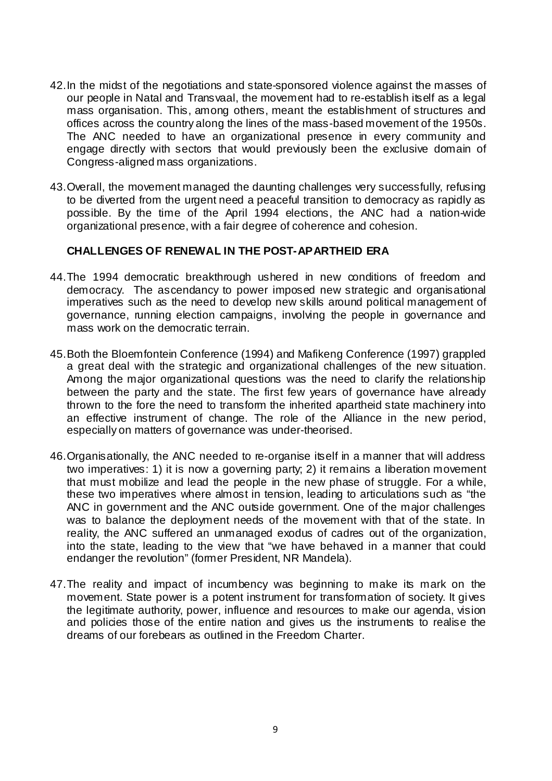- 42. In the midst of the negotiations and state-sponsored violence against the masses of our people in Natal and Transvaal, the movement had to re-establish itself as a legal mass organisation. This, among others, meant the establishment of structures and offices across the country along the lines of the mass-based movement of the 1950s. The ANC needed to have an organizational presence in every community and engage directly with sectors that would previously been the exclusive domain of Congress-aligned mass organizations.
- 43. Overall, the movement managed the daunting challenges very successfully, refusing to be diverted from the urgent need a peaceful transition to democracy as rapidly as possible. By the time of the April 1994 elections, the ANC had a nation-wide organizational presence, with a fair degree of coherence and cohesion.

### **CHALLENGES OF RENEWAL IN THE POST-APARTHEID ERA**

- 44. The 1994 democratic breakthrough ushered in new conditions of freedom and democracy. The ascendancy to power imposed new strategic and organisational imperatives such as the need to develop new skills around political management of governance, running election campaigns, involving the people in governance and mass work on the democratic terrain.
- 45. Both the Bloemfontein Conference (1994) and Mafikeng Conference (1997) grappled a great deal with the strategic and organizational challenges of the new situation. Among the major organizational questions was the need to clarify the relationship between the party and the state. The first few years of governance have already thrown to the fore the need to transform the inherited apartheid state machinery into an effective instrument of change. The role of the Alliance in the new period, especially on matters of governance was under-theorised.
- 46. Organisationally, the ANC needed to re-organise itself in a manner that will address two imperatives: 1) it is now a governing party; 2) it remains a liberation movement that must mobilize and lead the people in the new phase of struggle. For a while, these two imperatives where almost in tension, leading to articulations such as "the ANC in government and the ANC outside government. One of the major challenges was to balance the deployment needs of the movement with that of the state. In reality, the ANC suffered an unmanaged exodus of cadres out of the organization, into the state, leading to the view that "we have behaved in a manner that could endanger the revolution" (former President, NR Mandela).
- 47. The reality and impact of incumbency was beginning to make its mark on the movement. State power is a potent instrument for transformation of society. It gives the legitimate authority, power, influence and resources to make our agenda, vision and policies those of the entire nation and gives us the instruments to realise the dreams of our forebears as outlined in the Freedom Charter.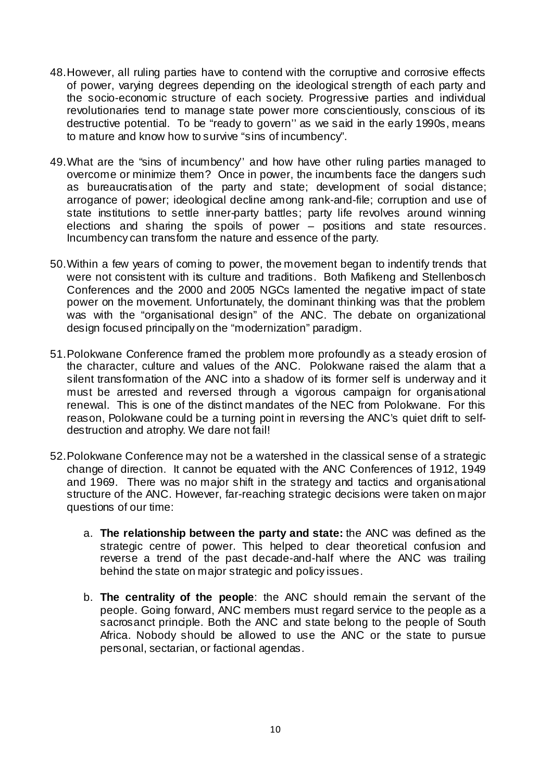- 48. However, all ruling parties have to contend with the corruptive and corrosive effects of power, varying degrees depending on the ideological strength of each party and the socio-economic structure of each society. Progressive parties and individual revolutionaries tend to manage state power more conscientiously, conscious of its destructive potential. To be "ready to govern'' as we said in the early 1990s, means to mature and know how to survive "sins of incumbency".
- 49. What are the "sins of incumbency'' and how have other ruling parties managed to overcome or minimize them? Once in power, the incumbents face the dangers such as bureaucratisation of the party and state; development of social distance; arrogance of power; ideological decline among rank-and-file; corruption and use of state institutions to settle inner-party battles; party life revolves around winning elections and sharing the spoils of power – positions and state resources. Incumbency can transform the nature and essence of the party.
- 50. Within a few years of coming to power, the movement began to indentify trends that were not consistent with its culture and traditions. Both Mafikeng and Stellenbosch Conferences and the 2000 and 2005 NGCs lamented the negative impact of state power on the movement. Unfortunately, the dominant thinking was that the problem was with the "organisational design" of the ANC. The debate on organizational design focused principally on the "modernization" paradigm.
- 51. Polokwane Conference framed the problem more profoundly as a steady erosion of the character, culture and values of the ANC. Polokwane raised the alarm that a silent transformation of the ANC into a shadow of its former self is underway and it must be arrested and reversed through a vigorous campaign for organisational renewal. This is one of the distinct mandates of the NEC from Polokwane. For this reason, Polokwane could be a turning point in reversing the ANC's quiet drift to selfdestruction and atrophy. We dare not fail!
- 52. Polokwane Conference may not be a watershed in the classical sense of a strategic change of direction. It cannot be equated with the ANC Conferences of 1912, 1949 and 1969. There was no major shift in the strategy and tactics and organisational structure of the ANC. However, far-reaching strategic decisions were taken on major questions of our time:
	- a. **The relationship between the party and state:** the ANC was defined as the strategic centre of power. This helped to dear theoretical confusion and reverse a trend of the past decade-and-half where the ANC was trailing behind the state on major strategic and policy issues.
	- b. **The centrality of the people**: the ANC should remain the servant of the people. Going forward, ANC members must regard service to the people as a sacrosanct principle. Both the ANC and state belong to the people of South Africa. Nobody should be allowed to use the ANC or the state to pursue personal, sectarian, or factional agendas.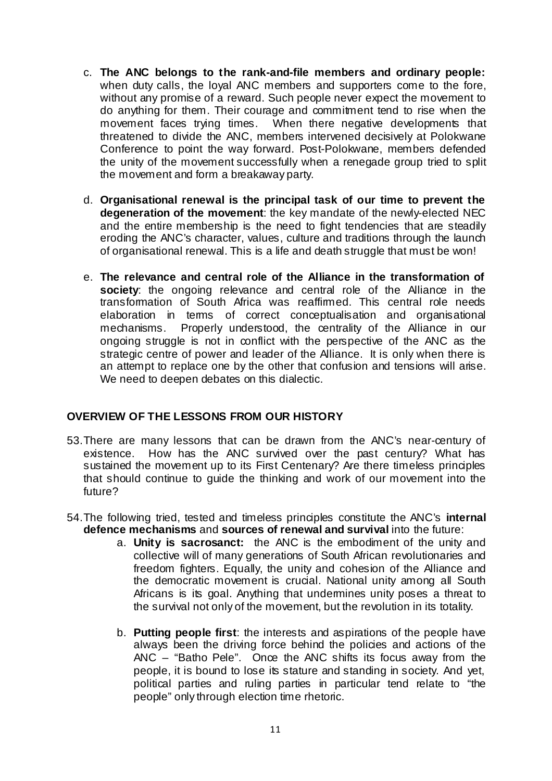- c. **The ANC belongs to the rank-and-file members and ordinary people:**  when duty calls, the loyal ANC members and supporters come to the fore, without any promise of a reward. Such people never expect the movement to do anything for them. Their courage and commitment tend to rise when the movement faces trying times. When there negative developments that threatened to divide the ANC, members intervened decisively at Polokwane Conference to point the way forward. Post-Polokwane, members defended the unity of the movement successfully when a renegade group tried to split the movement and form a breakaway party.
- d. **Organisational renewal is the principal task of our time to prevent the degeneration of the movement**: the key mandate of the newly-elected NEC and the entire membership is the need to fight tendencies that are steadily eroding the ANC's character, values, culture and traditions through the launch of organisational renewal. This is a life and death struggle that must be won!
- e. **The relevance and central role of the Alliance in the transformation of society**: the ongoing relevance and central role of the Alliance in the transformation of South Africa was reaffirmed. This central role needs elaboration in terms of correct conceptualisation and organisational mechanisms. Properly understood, the centrality of the Alliance in our ongoing struggle is not in conflict with the perspective of the ANC as the strategic centre of power and leader of the Alliance. It is only when there is an attempt to replace one by the other that confusion and tensions will arise. We need to deepen debates on this dialectic.

## **OVERVIEW OF THE LESSONS FROM OUR HISTORY**

- 53. There are many lessons that can be drawn from the ANC's near-century of existence. How has the ANC survived over the past century? What has sustained the movement up to its First Centenary? Are there timeless principles that should continue to guide the thinking and work of our movement into the future?
- 54. The following tried, tested and timeless principles constitute the ANC's **internal defence mechanisms** and **sources of renewal and survival** into the future:
	- a. **Unity is sacrosanct:** the ANC is the embodiment of the unity and collective will of many generations of South African revolutionaries and freedom fighters. Equally, the unity and cohesion of the Alliance and the democratic movement is crucial. National unity among all South Africans is its goal. Anything that undermines unity poses a threat to the survival not only of the movement, but the revolution in its totality.
	- b. **Putting people first**: the interests and aspirations of the people have always been the driving force behind the policies and actions of the ANC – "Batho Pele". Once the ANC shifts its focus away from the people, it is bound to lose its stature and standing in society. And yet, political parties and ruling parties in particular tend relate to "the people" only through election time rhetoric.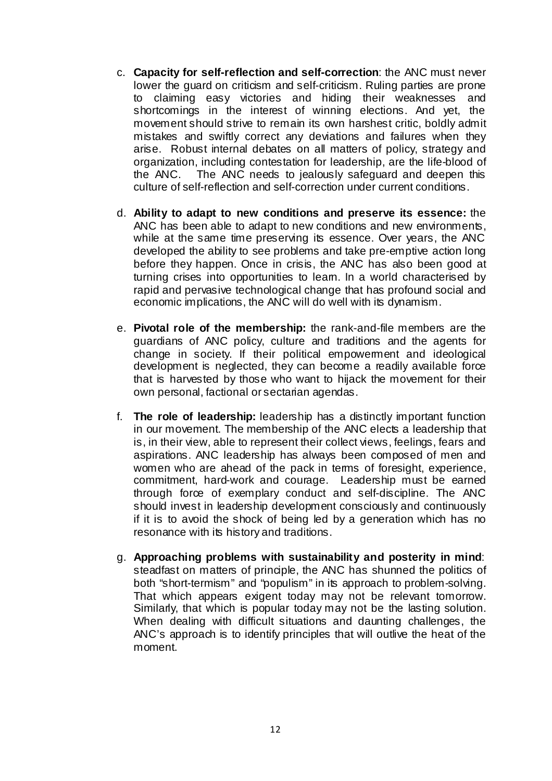- c. **Capacity for self-reflection and self-correction**: the ANC must never lower the guard on criticism and self-criticism. Ruling parties are prone to claiming easy victories and hiding their weaknesses and shortcomings in the interest of winning elections. And yet, the movement should strive to remain its own harshest critic, boldly admit mistakes and swiftly correct any deviations and failures when they arise. Robust internal debates on all matters of policy, strategy and organization, including contestation for leadership, are the life-blood of the ANC. The ANC needs to jealously safeguard and deepen this culture of self-reflection and self-correction under current conditions.
- d. **Ability to adapt to new conditions and preserve its essence:** the ANC has been able to adapt to new conditions and new environments, while at the same time preserving its essence. Over years, the ANC developed the ability to see problems and take pre-emptive action long before they happen. Once in crisis, the ANC has also been good at turning crises into opportunities to learn. In a world characterised by rapid and pervasive technological change that has profound social and economic implications, the ANC will do well with its dynamism.
- e. **Pivotal role of the membership:** the rank-and-file members are the guardians of ANC policy, culture and traditions and the agents for change in society. If their political empowerment and ideological development is neglected, they can become a readily available force that is harvested by those who want to hijack the movement for their own personal, factional or sectarian agendas.
- f. **The role of leadership:** leadership has a distinctly important function in our movement. The membership of the ANC elects a leadership that is, in their view, able to represent their collect views, feelings, fears and aspirations. ANC leadership has always been composed of men and women who are ahead of the pack in terms of foresight, experience, commitment, hard-work and courage. Leadership must be earned through force of exemplary conduct and self-discipline. The ANC should invest in leadership development consciously and continuously if it is to avoid the shock of being led by a generation which has no resonance with its history and traditions.
- g. **Approaching problems with sustainability and posterity in mind**: steadfast on matters of principle, the ANC has shunned the politics of both "short-termism" and "populism" in its approach to problem-solving. That which appears exigent today may not be relevant tomorrow. Similarly, that which is popular today may not be the lasting solution. When dealing with difficult situations and daunting challenges, the ANC's approach is to identify principles that will outlive the heat of the moment.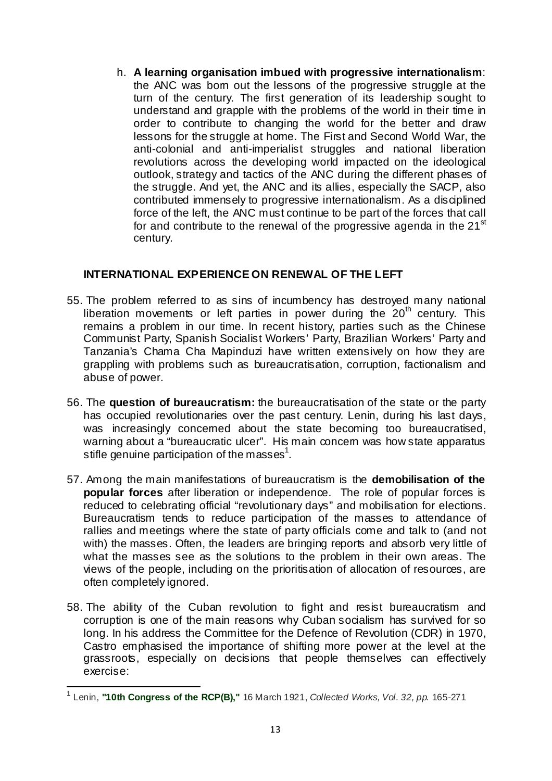h. **A learning organisation imbued with progressive internationalism**: the ANC was born out the lessons of the progressive struggle at the turn of the century. The first generation of its leadership sought to understand and grapple with the problems of the world in their time in order to contribute to changing the world for the better and draw lessons for the struggle at home. The First and Second World War, the anti-colonial and anti-imperialist struggles and national liberation revolutions across the developing world impacted on the ideological outlook, strategy and tactics of the ANC during the different phases of the struggle. And yet, the ANC and its allies, especially the SACP, also contributed immensely to progressive internationalism. As a disciplined force of the left, the ANC must continue to be part of the forces that call for and contribute to the renewal of the progressive agenda in the 21<sup>st</sup> century.

## **INTERNATIONAL EXPERIENCE ON RENEWAL OF THE LEFT**

- 55. The problem referred to as sins of incumbency has destroyed many national liberation movements or left parties in power during the  $20<sup>th</sup>$  century. This remains a problem in our time. In recent history, parties such as the Chinese Communist Party, Spanish Socialist Workers' Party, Brazilian Workers' Party and Tanzania's Chama Cha Mapinduzi have written extensively on how they are grappling with problems such as bureaucratisation, corruption, factionalism and abuse of power.
- 56. The **question of bureaucratism:** the bureaucratisation of the state or the party has occupied revolutionaries over the past century. Lenin, during his last days, was increasingly concemed about the state becoming too bureaucratised, warning about a "bureaucratic ulcer". His main concern was how state apparatus stifle genuine participation of the masses<sup>1</sup>.
- 57. Among the main manifestations of bureaucratism is the **demobilisation of the popular forces** after liberation or independence. The role of popular forces is reduced to celebrating official "revolutionary days" and mobilisation for elections. Bureaucratism tends to reduce participation of the masses to attendance of rallies and meetings where the state of party officials come and talk to (and not with) the masses. Often, the leaders are bringing reports and absorb very little of what the masses see as the solutions to the problem in their own areas. The views of the people, including on the prioritisation of allocation of resources, are often completely ignored.
- 58. The ability of the Cuban revolution to fight and resist bureaucratism and corruption is one of the main reasons why Cuban socialism has survived for so long. In his address the Committee for the Defence of Revolution (CDR) in 1970, Castro emphasised the importance of shifting more power at the level at the grassroots, especially on decisions that people themselves can effectively exercise:

 <sup>1</sup> Lenin, **"10th Congress of the RCP(B),"** 16 March 1921, *Collected Works, Vol. 32, pp.* 165-271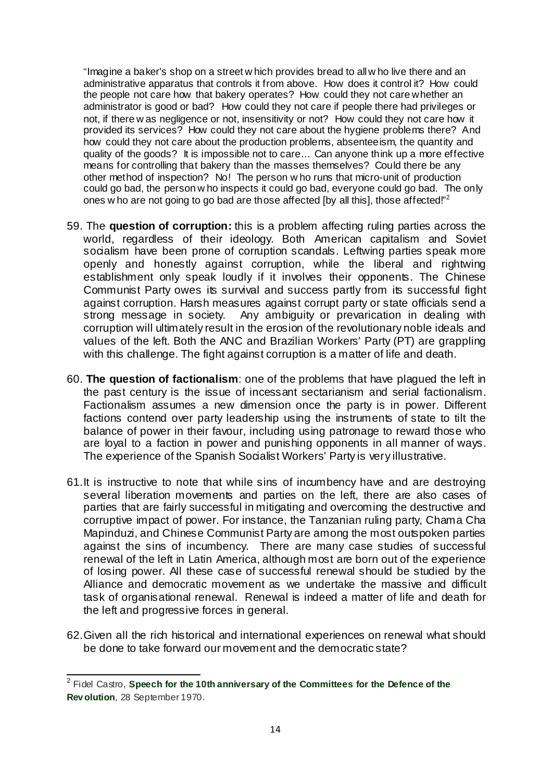"Imagine a baker's shop on a street w hich provides bread to all w ho live there and an administrative apparatus that controls it from above. How does it control it? How could the people not care how that bakery operates? How could they not care whether an administrator is good or bad? How could they not care if people there had privileges or not, if there w as negligence or not, insensitivity or not? How could they not care how it provided its services? How could they not care about the hygiene problems there? And how could they not care about the production problems, absenteeism, the quantity and quality of the goods? It is impossible not to care... Can anyone think up a more effective means for controlling that bakery than the masses themselves? Could there be any other method of inspection? No! The person w ho runs that micro-unit of production could go bad, the person w ho inspects it could go bad, everyone could go bad. The only ones w ho are not going to go bad are those affected [by all this], those affected.<sup>"2</sup>

- 59. The **question of corruption:** this is a problem affecting ruling parties across the world, regardless of their ideology. Both American capitalism and Soviet socialism have been prone of corruption scandals. Leftwing parties speak more openly and honestly against corruption, while the liberal and rightwing establishment only speak loudly if it involves their opponents. The Chinese Communist Party owes its survival and success partly from its successful fight against corruption. Harsh measures against corrupt party or state officials send a strong message in society. Any ambiguity or prevarication in dealing with corruption will ultimately result in the erosion of the revolutionary noble ideals and values of the left. Both the ANC and Brazilian Workers' Party (PT) are grappling with this challenge. The fight against corruption is a matter of life and death.
- 60. **The question of factionalism**: one of the problems that have plagued the left in the past century is the issue of incessant sectarianism and serial factionalism. Factionalism assumes a new dimension once the party is in power. Different factions contend over party leadership using the instruments of state to tilt the balance of power in their favour, including using patronage to reward those who are loyal to a faction in power and punishing opponents in all manner of ways. The experience of the Spanish Socialist Workers' Party is very illustrative.
- 61. It is instructive to note that while sins of incumbency have and are destroying several liberation movements and parties on the left, there are also cases of parties that are fairly successful in mitigating and overcoming the destructive and corruptive impact of power. For instance, the Tanzanian ruling party, Chama Cha Mapinduzi, and Chinese Communist Party are among the most outspoken parties against the sins of incumbency. There are many case studies of successful renewal of the left in Latin America, although most are born out of the experience of losing power. All these case of successful renewal should be studied by the Alliance and democratic movement as we undertake the massive and difficult task of organisational renewal. Renewal is indeed a matter of life and death for the left and progressive forces in general.
- 62. Given all the rich historical and international experiences on renewal what should be done to take forward our movement and the democratic state?

 <sup>2</sup> Fidel Castro, **Speech for the 10th anniversary of the Committees for the Defence of the Rev olution**, 28 September 1970.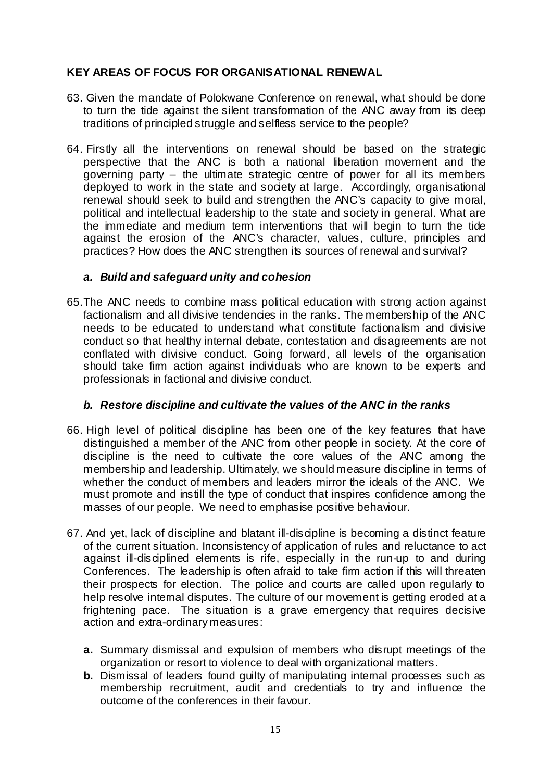# **KEY AREAS OF FOCUS FOR ORGANISATIONAL RENEWAL**

- 63. Given the mandate of Polokwane Conference on renewal, what should be done to turn the tide against the silent transformation of the ANC away from its deep traditions of principled struggle and selfless service to the people?
- 64. Firstly all the interventions on renewal should be based on the strategic perspective that the ANC is both a national liberation movement and the governing party – the ultimate strategic centre of power for all its members deployed to work in the state and society at large. Accordingly, organisational renewal should seek to build and strengthen the ANC's capacity to give moral, political and intellectual leadership to the state and society in general. What are the immediate and medium term interventions that will begin to turn the tide against the erosion of the ANC's character, values, culture, principles and practices? How does the ANC strengthen its sources of renewal and survival?

## *a. Build and safeguard unity and cohesion*

65. The ANC needs to combine mass political education with strong action against factionalism and all divisive tendencies in the ranks. The membership of the ANC needs to be educated to understand what constitute factionalism and divisive conduct so that healthy internal debate, contestation and disagreements are not conflated with divisive conduct. Going forward, all levels of the organisation should take firm action against individuals who are known to be experts and professionals in factional and divisive conduct.

# *b. Restore discipline and cultivate the values of the ANC in the ranks*

- 66. High level of political discipline has been one of the key features that have distinguished a member of the ANC from other people in society. At the core of discipline is the need to cultivate the core values of the ANC among the membership and leadership. Ultimately, we should measure discipline in terms of whether the conduct of members and leaders mirror the ideals of the ANC. We must promote and instill the type of conduct that inspires confidence among the masses of our people. We need to emphasise positive behaviour.
- 67. And yet, lack of discipline and blatant ill-discipline is becoming a distinct feature of the current situation. Inconsistency of application of rules and reluctance to act against ill-disciplined elements is rife, especially in the run-up to and during Conferences. The leadership is often afraid to take firm action if this will threaten their prospects for election. The police and courts are called upon regularly to help resolve internal disputes. The culture of our movement is getting eroded at a frightening pace. The situation is a grave emergency that requires decisive action and extra-ordinary measures:
	- **a.** Summary dismissal and expulsion of members who disrupt meetings of the organization or resort to violence to deal with organizational matters.
	- **b.** Dismissal of leaders found quilty of manipulating internal processes such as membership recruitment, audit and credentials to try and influence the outcome of the conferences in their favour.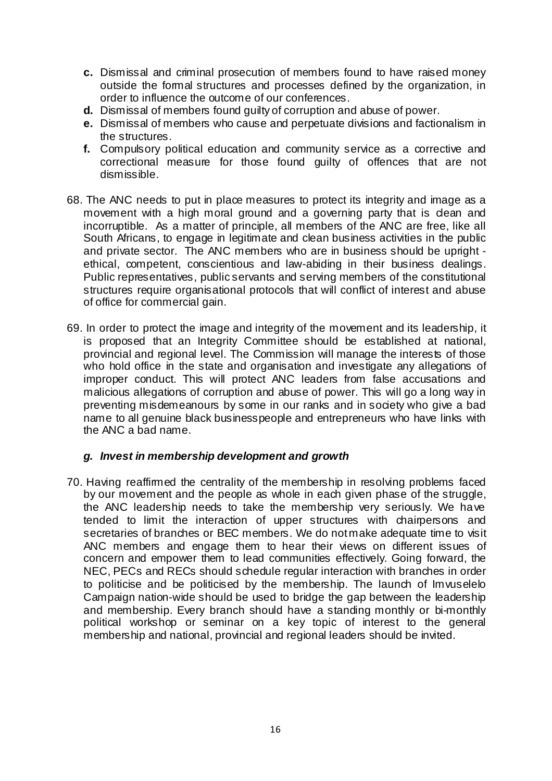- **c.** Dismissal and criminal prosecution of members found to have raised money outside the formal structures and processes defined by the organization, in order to influence the outcome of our conferences.
- **d.** Dismissal of members found guilty of corruption and abuse of power.
- **e.** Dismissal of members who cause and perpetuate divisions and factionalism in the structures.
- **f.** Compulsory political education and community service as a corrective and correctional measure for those found guilty of offences that are not dismissible.
- 68. The ANC needs to put in place measures to protect its integrity and image as a movement with a high moral ground and a governing party that is clean and incorruptible. As a matter of principle, all members of the ANC are free, like all South Africans, to engage in legitimate and clean business activities in the public and private sector. The ANC members who are in business should be upright ethical, competent, conscientious and law-abiding in their business dealings. Public representatives, public servants and serving members of the constitutional structures require organisational protocols that will conflict of interest and abuse of office for commercial gain.
- 69. In order to protect the image and integrity of the movement and its leadership, it is proposed that an Integrity Committee should be established at national, provincial and regional level. The Commission will manage the interests of those who hold office in the state and organisation and investigate any allegations of improper conduct. This will protect ANC leaders from false accusations and malicious allegations of corruption and abuse of power. This will go a long way in preventing misdemeanours by some in our ranks and in society who give a bad name to all genuine black businesspeople and entrepreneurs who have links with the ANC a bad name.

### *g. Invest in membership development and growth*

70. Having reaffirmed the centrality of the membership in resolving problems faced by our movement and the people as whole in each given phase of the struggle, the ANC leadership needs to take the membership very seriously. We have tended to limit the interaction of upper structures with chairpersons and secretaries of branches or BEC members. We do not make adequate time to visit ANC members and engage them to hear their views on different issues of concern and empower them to lead communities effectively. Going forward, the NEC, PECs and RECs should schedule regular interaction with branches in order to politicise and be politicised by the membership. The launch of Imvuselelo Campaign nation-wide should be used to bridge the gap between the leadership and membership. Every branch should have a standing monthly or bi-monthly political workshop or seminar on a key topic of interest to the general membership and national, provincial and regional leaders should be invited.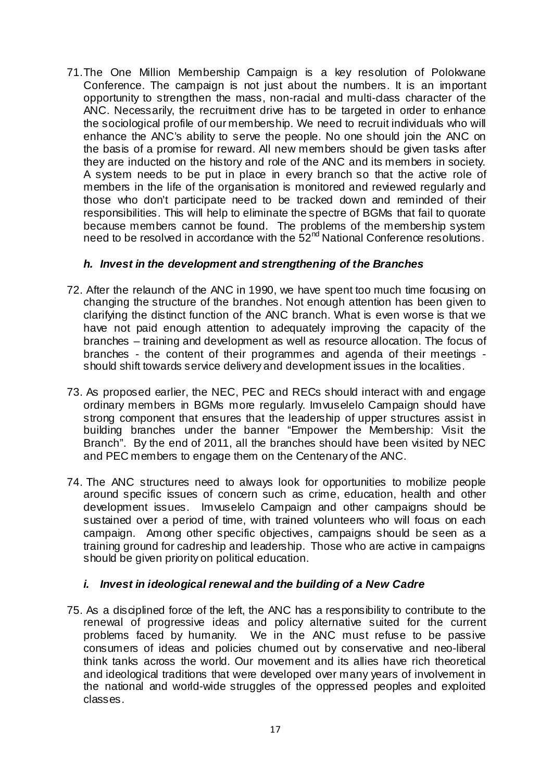71. The One Million Membership Campaign is a key resolution of Polokwane Conference. The campaign is not just about the numbers. It is an important opportunity to strengthen the mass, non-racial and multi-class character of the ANC. Necessarily, the recruitment drive has to be targeted in order to enhance the sociological profile of our membership. We need to recruit individuals who will enhance the ANC's ability to serve the people. No one should join the ANC on the basis of a promise for reward. All new members should be given tasks after they are inducted on the history and role of the ANC and its members in society. A system needs to be put in place in every branch so that the active role of members in the life of the organisation is monitored and reviewed regularly and those who don't participate need to be tracked down and reminded of their responsibilities. This will help to eliminate the spectre of BGMs that fail to quorate because members cannot be found. The problems of the membership system need to be resolved in accordance with the  $52<sup>nd</sup>$  National Conference resolutions.

### *h. Invest in the development and strengthening of the Branches*

- 72. After the relaunch of the ANC in 1990, we have spent too much time focusing on changing the structure of the branches. Not enough attention has been given to clarifying the distinct function of the ANC branch. What is even worse is that we have not paid enough attention to adequately improving the capacity of the branches – training and development as well as resource allocation. The focus of branches - the content of their programmes and agenda of their meetings should shift towards service delivery and development issues in the localities.
- 73. As proposed earlier, the NEC, PEC and RECs should interact with and engage ordinary members in BGMs more regularly. Imvuselelo Campaign should have strong component that ensures that the leadership of upper structures assist in building branches under the banner "Empower the Membership: Visit the Branch". By the end of 2011, all the branches should have been visited by NEC and PEC members to engage them on the Centenary of the ANC.
- 74. The ANC structures need to always look for opportunities to mobilize people around specific issues of concern such as crime, education, health and other development issues. Imvuselelo Campaign and other campaigns should be sustained over a period of time, with trained volunteers who will focus on each campaign. Among other specific objectives, campaigns should be seen as a training ground for cadreship and leadership. Those who are active in campaigns should be given priority on political education.

# *i. Invest in ideological renewal and the building of a New Cadre*

75. As a disciplined force of the left, the ANC has a responsibility to contribute to the renewal of progressive ideas and policy alternative suited for the current problems faced by humanity. We in the ANC must refuse to be passive consumers of ideas and policies churned out by conservative and neo-liberal think tanks across the world. Our movement and its allies have rich theoretical and ideological traditions that were developed over many years of involvement in the national and world-wide struggles of the oppressed peoples and exploited classes.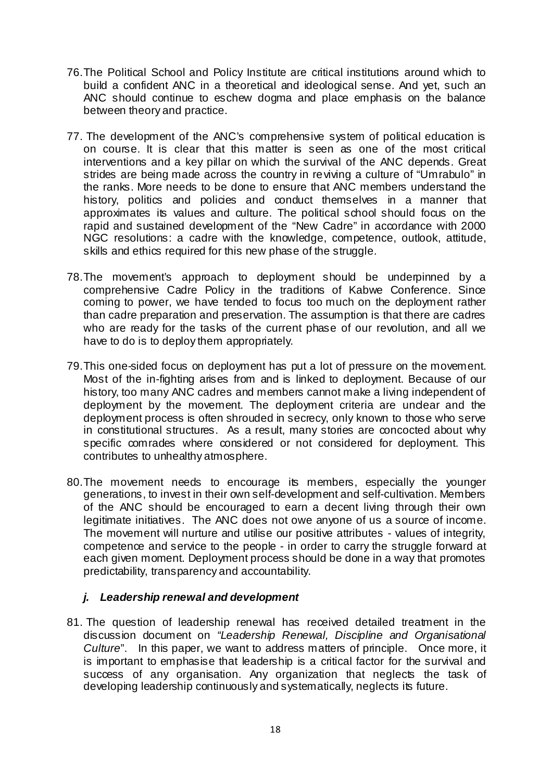- 76. The Political School and Policy Institute are critical institutions around which to build a confident ANC in a theoretical and ideological sense. And yet, such an ANC should continue to eschew dogma and place emphasis on the balance between theory and practice.
- 77. The development of the ANC's comprehensive system of political education is on course. It is clear that this matter is seen as one of the most critical interventions and a key pillar on which the survival of the ANC depends. Great strides are being made across the country in reviving a culture of "Umrabulo" in the ranks. More needs to be done to ensure that ANC members understand the history, politics and policies and conduct themselves in a manner that approximates its values and culture. The political school should focus on the rapid and sustained development of the "New Cadre" in accordance with 2000 NGC resolutions: a cadre with the knowledge, competence, outlook, attitude, skills and ethics required for this new phase of the struggle.
- 78. The movement's approach to deployment should be underpinned by a comprehensive Cadre Policy in the traditions of Kabwe Conference. Since coming to power, we have tended to focus too much on the deployment rather than cadre preparation and preservation. The assumption is that there are cadres who are ready for the tasks of the current phase of our revolution, and all we have to do is to deploy them appropriately.
- 79. This one-sided focus on deployment has put a lot of pressure on the movement. Most of the in-fighting arises from and is linked to deployment. Because of our history, too many ANC cadres and members cannot make a living independent of deployment by the movement. The deployment criteria are undear and the deployment process is often shrouded in secrecy, only known to those who serve in constitutional structures. As a result, many stories are concocted about why specific comrades where considered or not considered for deployment. This contributes to unhealthy atmosphere.
- 80. The movement needs to encourage its members, especially the younger generations, to invest in their own self-development and self-cultivation. Members of the ANC should be encouraged to earn a decent living through their own legitimate initiatives. The ANC does not owe anyone of us a source of income. The movement will nurture and utilise our positive attributes - values of integrity, competence and service to the people - in order to carry the struggle forward at each given moment. Deployment process should be done in a way that promotes predictability, transparency and accountability.

# *j. Leadership renewal and development*

81. The question of leadership renewal has received detailed treatment in the discussion document on *"Leadership Renewal, Discipline and Organisational Culture*". In this paper, we want to address matters of principle. Once more, it is important to emphasise that leadership is a critical factor for the survival and success of any organisation. Any organization that neglects the task of developing leadership continuously and systematically, neglects its future.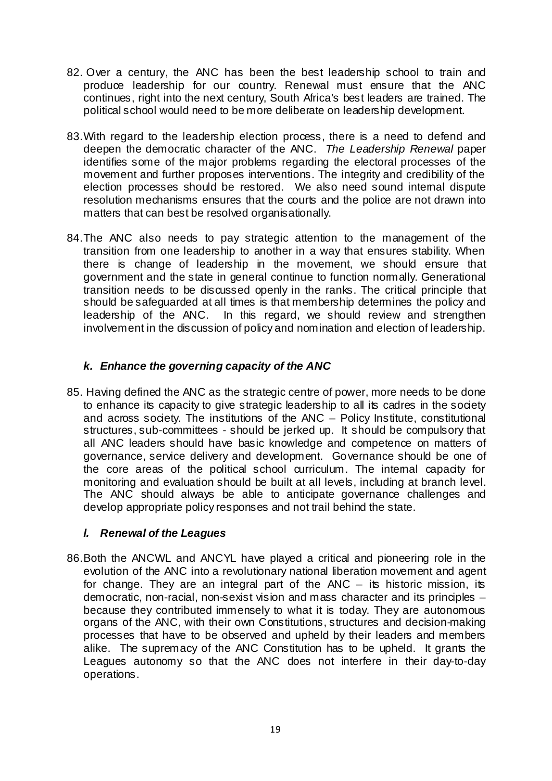- 82. Over a century, the ANC has been the best leadership school to train and produce leadership for our country. Renewal must ensure that the ANC continues, right into the next century, South Africa's best leaders are trained. The political school would need to be more deliberate on leadership development.
- 83. With regard to the leadership election process, there is a need to defend and deepen the democratic character of the ANC. *The Leadership Renewal* paper identifies some of the major problems regarding the electoral processes of the movement and further proposes interventions. The integrity and credibility of the election processes should be restored. We also need sound internal dispute resolution mechanisms ensures that the courts and the police are not drawn into matters that can best be resolved organisationally.
- 84. The ANC also needs to pay strategic attention to the management of the transition from one leadership to another in a way that ensures stability. When there is change of leadership in the movement, we should ensure that government and the state in general continue to function normally. Generational transition needs to be discussed openly in the ranks. The critical principle that should be safeguarded at all times is that membership determines the policy and leadership of the ANC. In this regard, we should review and strengthen involvement in the discussion of policy and nomination and election of leadership.

# *k. Enhance the governing capacity of the ANC*

85. Having defined the ANC as the strategic centre of power, more needs to be done to enhance its capacity to give strategic leadership to all its cadres in the society and across society. The institutions of the ANC – Policy Institute, constitutional structures, sub-committees - should be jerked up. It should be compulsory that all ANC leaders should have basic knowledge and competence on matters of governance, service delivery and development. Governance should be one of the core areas of the political school curriculum. The internal capacity for monitoring and evaluation should be built at all levels, including at branch level. The ANC should always be able to anticipate governance challenges and develop appropriate policy responses and not trail behind the state.

# *l. Renewal of the Leagues*

86. Both the ANCWL and ANCYL have played a critical and pioneering role in the evolution of the ANC into a revolutionary national liberation movement and agent for change. They are an integral part of the  $ANC -$  its historic mission, its democratic, non-racial, non-sexist vision and mass character and its principles – because they contributed immensely to what it is today. They are autonomous organs of the ANC, with their own Constitutions, structures and decision-making processes that have to be observed and upheld by their leaders and members alike. The supremacy of the ANC Constitution has to be upheld. It grants the Leagues autonomy so that the ANC does not interfere in their day-to-day operations.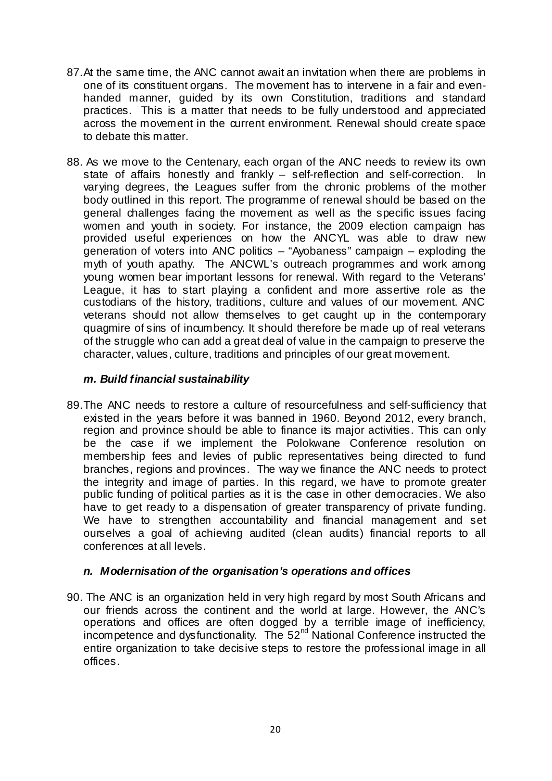- 87. At the same time, the ANC cannot await an invitation when there are problems in one of its constituent organs. The movement has to intervene in a fair and evenhanded manner, guided by its own Constitution, traditions and standard practices. This is a matter that needs to be fully understood and appreciated across the movement in the current environment. Renewal should create space to debate this matter.
- 88. As we move to the Centenary, each organ of the ANC needs to review its own state of affairs honestly and frankly – self-reflection and self-correction. In varying degrees, the Leagues suffer from the chronic problems of the mother body outlined in this report. The programme of renewal should be based on the general challenges facing the movement as well as the specific issues facing women and youth in society. For instance, the 2009 election campaign has provided useful experiences on how the ANCYL was able to draw new generation of voters into ANC politics – "Ayobaness" campaign – exploding the myth of youth apathy. The ANCWL's outreach programmes and work among young women bear important lessons for renewal. With regard to the Veterans' League, it has to start playing a confident and more assertive role as the custodians of the history, traditions, culture and values of our movement. ANC veterans should not allow themselves to get caught up in the contemporary quagmire of sins of incumbency. It should therefore be made up of real veterans of the struggle who can add a great deal of value in the campaign to preserve the character, values, culture, traditions and principles of our great movement.

## *m. Build financial sustainability*

89. The ANC needs to restore a culture of resourcefulness and self-sufficiency that existed in the years before it was banned in 1960. Beyond 2012, every branch, region and province should be able to finance its major activities. This can only be the case if we implement the Polokwane Conference resolution on membership fees and levies of public representatives being directed to fund branches, regions and provinces. The way we finance the ANC needs to protect the integrity and image of parties. In this regard, we have to promote greater public funding of political parties as it is the case in other democracies. We also have to get ready to a dispensation of greater transparency of private funding. We have to strengthen accountability and financial management and set ourselves a goal of achieving audited (clean audits) financial reports to all conferences at all levels.

### *n. Modernisation of the organisation's operations and offices*

90. The ANC is an organization held in very high regard by most South Africans and our friends across the continent and the world at large. However, the ANC's operations and offices are often dogged by a terrible image of inefficiency, incompetence and dysfunctionality. The  $52<sup>nd</sup>$  National Conference instructed the entire organization to take decisive steps to restore the professional image in all offices.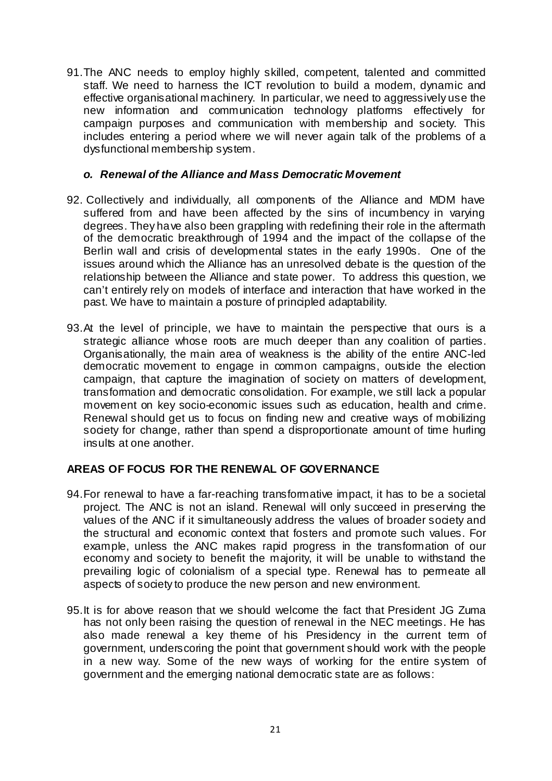91. The ANC needs to employ highly skilled, competent, talented and committed staff. We need to harness the ICT revolution to build a modem, dynamic and effective organisational machinery. In particular, we need to aggressively use the new information and communication technology platforms effectively for campaign purposes and communication with membership and society. This includes entering a period where we will never again talk of the problems of a dysfunctional membership system.

### *o. Renewal of the Alliance and Mass Democratic Movement*

- 92. Collectively and individually, all components of the Alliance and MDM have suffered from and have been affected by the sins of incumbency in varying degrees. They have also been grappling with redefining their role in the aftermath of the democratic breakthrough of 1994 and the impact of the collapse of the Berlin wall and crisis of developmental states in the early 1990s. One of the issues around which the Alliance has an unresolved debate is the question of the relationship between the Alliance and state power. To address this question, we can't entirely rely on models of interface and interaction that have worked in the past. We have to maintain a posture of principled adaptability.
- 93. At the level of principle, we have to maintain the perspective that ours is a strategic alliance whose roots are much deeper than any coalition of parties. Organisationally, the main area of weakness is the ability of the entire ANC-led democratic movement to engage in common campaigns, outside the election campaign, that capture the imagination of society on matters of development, transformation and democratic consolidation. For example, we still lack a popular movement on key socio-economic issues such as education, health and crime. Renewal should get us to focus on finding new and creative ways of mobilizing society for change, rather than spend a disproportionate amount of time hurling insults at one another.

# **AREAS OF FOCUS FOR THE RENEWAL OF GOVERNANCE**

- 94. For renewal to have a far-reaching transformative impact, it has to be a societal project. The ANC is not an island. Renewal will only succeed in preserving the values of the ANC if it simultaneously address the values of broader society and the structural and economic context that fosters and promote such values. For example, unless the ANC makes rapid progress in the transformation of our economy and society to benefit the majority, it will be unable to withstand the prevailing logic of colonialism of a special type. Renewal has to permeate all aspects of society to produce the new person and new environment.
- 95. It is for above reason that we should welcome the fact that President JG Zuma has not only been raising the question of renewal in the NEC meetings. He has also made renewal a key theme of his Presidency in the current term of government, underscoring the point that government should work with the people in a new way. Some of the new ways of working for the entire system of government and the emerging national democratic state are as follows: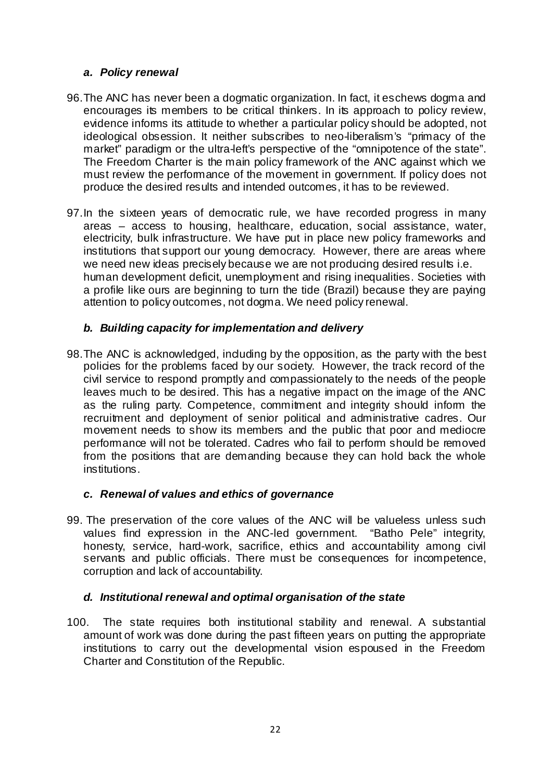## *a. Policy renewal*

- 96. The ANC has never been a dogmatic organization. In fact, it eschews dogma and encourages its members to be critical thinkers. In its approach to policy review, evidence informs its attitude to whether a particular policy should be adopted, not ideological obsession. It neither subscribes to neo-liberalism's "primacy of the market" paradigm or the ultra-left's perspective of the "omnipotence of the state". The Freedom Charter is the main policy framework of the ANC against which we must review the performance of the movement in government. If policy does not produce the desired results and intended outcomes, it has to be reviewed.
- 97. In the sixteen years of democratic rule, we have recorded progress in many areas – access to housing, healthcare, education, social assistance, water, electricity, bulk infrastructure. We have put in place new policy frameworks and institutions that support our young democracy. However, there are areas where we need new ideas precisely because we are not producing desired results i.e. human development deficit, unemployment and rising inequalities. Societies with a profile like ours are beginning to turn the tide (Brazil) because they are paying attention to policy outcomes, not dogma. We need policy renewal.

# *b. Building capacity for implementation and delivery*

98. The ANC is acknowledged, including by the opposition, as the party with the best policies for the problems faced by our society. However, the track record of the civil service to respond promptly and compassionately to the needs of the people leaves much to be desired. This has a negative impact on the image of the ANC as the ruling party. Competence, commitment and integrity should inform the recruitment and deployment of senior political and administrative cadres. Our movement needs to show its members and the public that poor and mediocre performance will not be tolerated. Cadres who fail to perform should be removed from the positions that are demanding because they can hold back the whole institutions.

# *c. Renewal of values and ethics of governance*

99. The preservation of the core values of the ANC will be valueless unless such values find expression in the ANC-led government. "Batho Pele" integrity, honesty, service, hard-work, sacrifice, ethics and accountability among civil servants and public officials. There must be consequences for incompetence, corruption and lack of accountability.

# *d. Institutional renewal and optimal organisation of the state*

100. The state requires both institutional stability and renewal. A substantial amount of work was done during the past fifteen years on putting the appropriate institutions to carry out the developmental vision espoused in the Freedom Charter and Constitution of the Republic.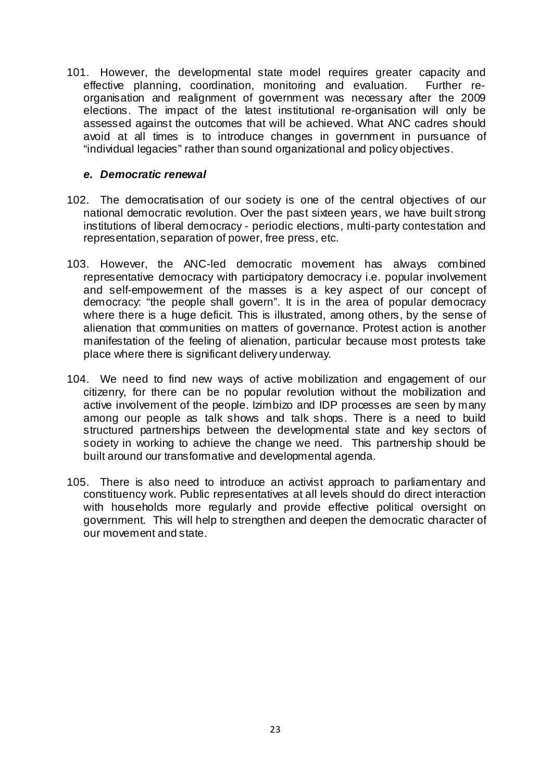101. However, the developmental state model requires greater capacity and effective planning, coordination, monitoring and evaluation. Further reorganisation and realignment of government was necessary after the 2009 elections. The impact of the latest institutional re-organisation will only be assessed against the outcomes that will be achieved. What ANC cadres should avoid at all times is to introduce changes in government in pursuance of "individual legacies" rather than sound organizational and policy objectives.

### *e. Democratic renewal*

- 102. The democratisation of our society is one of the central objectives of our national democratic revolution. Over the past sixteen years, we have built strong institutions of liberal democracy - periodic elections, multi-party contestation and representation, separation of power, free press, etc.
- 103. However, the ANC-led democratic movement has always combined representative democracy with participatory democracy i.e. popular involvement and self-empowerment of the masses is a key aspect of our concept of democracy: "the people shall govern". It is in the area of popular democracy where there is a huge deficit. This is illustrated, among others, by the sense of alienation that communities on matters of governance. Protest action is another manifestation of the feeling of alienation, particular because most protests take place where there is significant delivery underway.
- 104. We need to find new ways of active mobilization and engagement of our citizenry, for there can be no popular revolution without the mobilization and active involvement of the people. Izimbizo and IDP processes are seen by many among our people as talk shows and talk shops. There is a need to build structured partnerships between the developmental state and key sectors of society in working to achieve the change we need. This partnership should be built around our transformative and developmental agenda.
- 105. There is also need to introduce an activist approach to parliamentary and constituency work. Public representatives at all levels should do direct interaction with households more regularly and provide effective political oversight on government. This will help to strengthen and deepen the democratic character of our movement and state.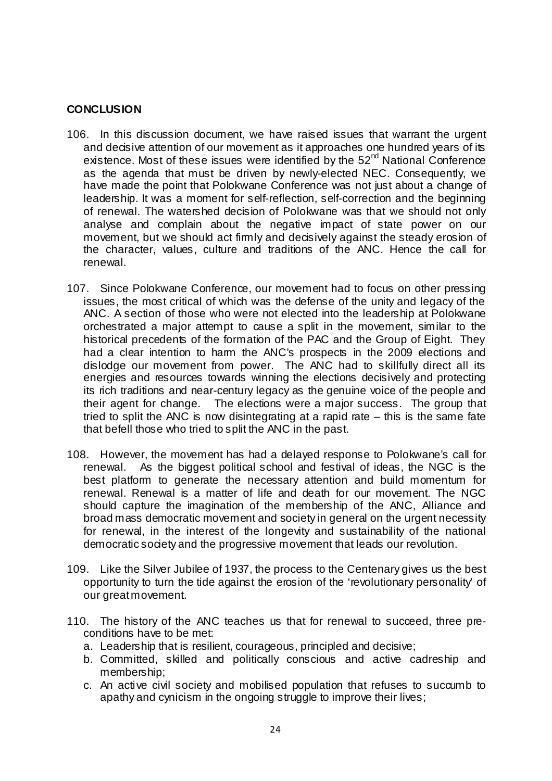## **CONCLUSION**

- 106. In this discussion document, we have raised issues that warrant the urgent and decisive attention of our movement as it approaches one hundred years of its existence. Most of these issues were identified by the  $52<sup>nd</sup>$  National Conference as the agenda that must be driven by newly-elected NEC. Consequently, we have made the point that Polokwane Conference was not just about a change of leadership. It was a moment for self-reflection, self-correction and the beginning of renewal. The watershed decision of Polokwane was that we should not only analyse and complain about the negative impact of state power on our movement, but we should act firmly and decisively against the steady erosion of the character, values, culture and traditions of the ANC. Hence the call for renewal.
- 107. Since Polokwane Conference, our movement had to focus on other pressing issues, the most critical of which was the defense of the unity and legacy of the ANC. A section of those who were not elected into the leadership at Polokwane orchestrated a major attempt to cause a split in the movement, similar to the historical precedents of the formation of the PAC and the Group of Eight. They had a clear intention to harm the ANC's prospects in the 2009 elections and dislodge our movement from power. The ANC had to skillfully direct all its energies and resources towards winning the elections decisively and protecting its rich traditions and near-century legacy as the genuine voice of the people and their agent for change. The elections were a major success. The group that tried to split the ANC is now disintegrating at a rapid rate  $-$  this is the same fate that befell those who tried to split the ANC in the past.
- 108. However, the movement has had a delayed response to Polokwane's call for renewal. As the biggest political school and festival of ideas, the NGC is the best platform to generate the necessary attention and build momentum for renewal. Renewal is a matter of life and death for our movement. The NGC should capture the imagination of the membership of the ANC, Alliance and broad mass democratic movement and society in general on the urgent necessity for renewal, in the interest of the longevity and sustainability of the national democratic society and the progressive movement that leads our revolution.
- 109. Like the Silver Jubilee of 1937, the process to the Centenary gives us the best opportunity to turn the tide against the erosion of the 'revolutionary personality' of our great movement.
- 110. The history of the ANC teaches us that for renewal to succeed, three preconditions have to be met:
	- a. Leadership that is resilient, courageous, principled and decisive;
	- b. Committed, skilled and politically conscious and active cadreship and membership;
	- c. An active civil society and mobilised population that refuses to succumb to apathy and cynicism in the ongoing struggle to improve their lives;